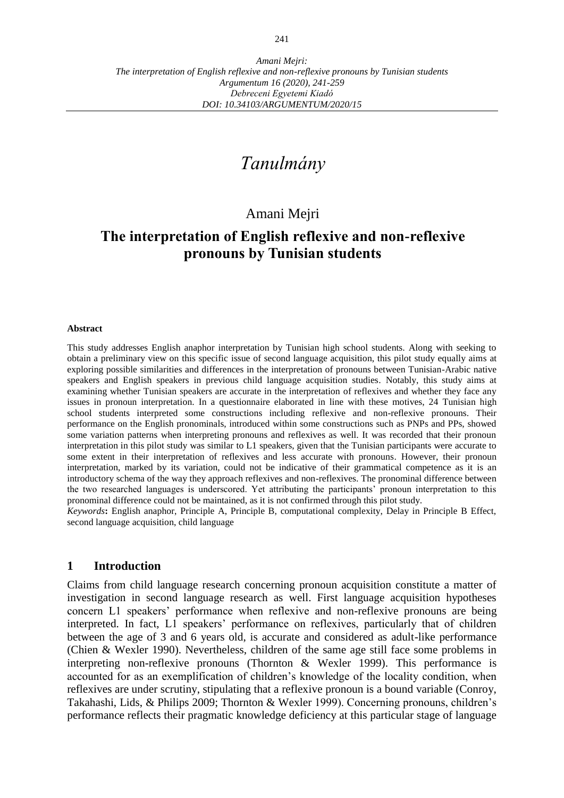# *Tanulmány*

## Amani Mejri

## **The interpretation of English reflexive and non-reflexive pronouns by Tunisian students**

#### **Abstract**

This study addresses English anaphor interpretation by Tunisian high school students. Along with seeking to obtain a preliminary view on this specific issue of second language acquisition, this pilot study equally aims at exploring possible similarities and differences in the interpretation of pronouns between Tunisian-Arabic native speakers and English speakers in previous child language acquisition studies. Notably, this study aims at examining whether Tunisian speakers are accurate in the interpretation of reflexives and whether they face any issues in pronoun interpretation. In a questionnaire elaborated in line with these motives, 24 Tunisian high school students interpreted some constructions including reflexive and non-reflexive pronouns. Their performance on the English pronominals, introduced within some constructions such as PNPs and PPs, showed some variation patterns when interpreting pronouns and reflexives as well. It was recorded that their pronoun interpretation in this pilot study was similar to L1 speakers, given that the Tunisian participants were accurate to some extent in their interpretation of reflexives and less accurate with pronouns. However, their pronoun interpretation, marked by its variation, could not be indicative of their grammatical competence as it is an introductory schema of the way they approach reflexives and non-reflexives. The pronominal difference between the two researched languages is underscored. Yet attributing the participants' pronoun interpretation to this pronominal difference could not be maintained, as it is not confirmed through this pilot study.

*Keywords***:** English anaphor, Principle A, Principle B, computational complexity, Delay in Principle B Effect, second language acquisition, child language

#### **1 Introduction**

Claims from child language research concerning pronoun acquisition constitute a matter of investigation in second language research as well. First language acquisition hypotheses concern L1 speakers' performance when reflexive and non-reflexive pronouns are being interpreted. In fact, L1 speakers' performance on reflexives, particularly that of children between the age of 3 and 6 years old, is accurate and considered as adult-like performance (Chien & Wexler 1990). Nevertheless, children of the same age still face some problems in interpreting non-reflexive pronouns (Thornton & Wexler 1999). This performance is accounted for as an exemplification of children's knowledge of the locality condition, when reflexives are under scrutiny, stipulating that a reflexive pronoun is a bound variable (Conroy, Takahashi, Lids, & Philips 2009; Thornton & Wexler 1999). Concerning pronouns, children's performance reflects their pragmatic knowledge deficiency at this particular stage of language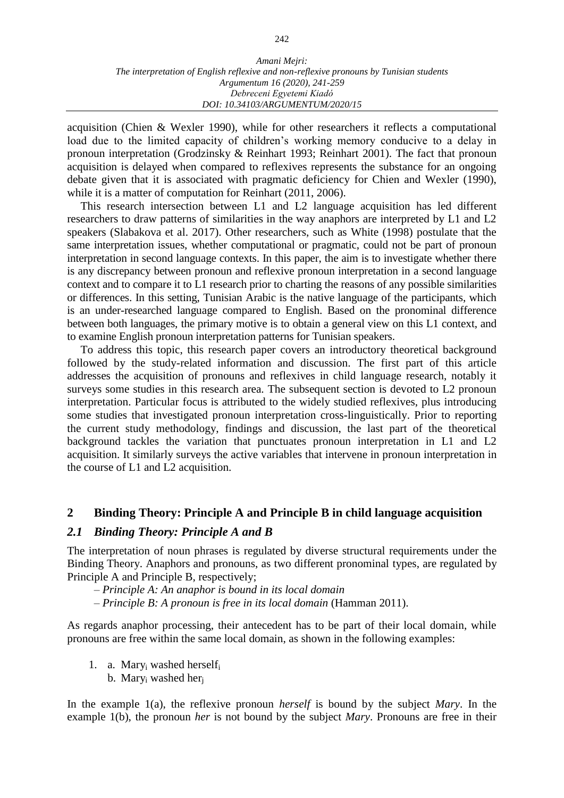acquisition (Chien & Wexler 1990), while for other researchers it reflects a computational load due to the limited capacity of children's working memory conducive to a delay in pronoun interpretation (Grodzinsky & Reinhart 1993; Reinhart 2001). The fact that pronoun acquisition is delayed when compared to reflexives represents the substance for an ongoing debate given that it is associated with pragmatic deficiency for Chien and Wexler (1990), while it is a matter of computation for Reinhart (2011, 2006).

This research intersection between L1 and L2 language acquisition has led different researchers to draw patterns of similarities in the way anaphors are interpreted by L1 and L2 speakers (Slabakova et al. 2017). Other researchers, such as White (1998) postulate that the same interpretation issues, whether computational or pragmatic, could not be part of pronoun interpretation in second language contexts. In this paper, the aim is to investigate whether there is any discrepancy between pronoun and reflexive pronoun interpretation in a second language context and to compare it to L1 research prior to charting the reasons of any possible similarities or differences. In this setting, Tunisian Arabic is the native language of the participants, which is an under-researched language compared to English. Based on the pronominal difference between both languages, the primary motive is to obtain a general view on this L1 context, and to examine English pronoun interpretation patterns for Tunisian speakers.

To address this topic, this research paper covers an introductory theoretical background followed by the study-related information and discussion. The first part of this article addresses the acquisition of pronouns and reflexives in child language research, notably it surveys some studies in this research area. The subsequent section is devoted to L2 pronoun interpretation. Particular focus is attributed to the widely studied reflexives, plus introducing some studies that investigated pronoun interpretation cross-linguistically. Prior to reporting the current study methodology, findings and discussion, the last part of the theoretical background tackles the variation that punctuates pronoun interpretation in L1 and L2 acquisition. It similarly surveys the active variables that intervene in pronoun interpretation in the course of L1 and L2 acquisition.

#### **2 Binding Theory: Principle A and Principle B in child language acquisition**

#### *2.1 Binding Theory: Principle A and B*

The interpretation of noun phrases is regulated by diverse structural requirements under the Binding Theory. Anaphors and pronouns, as two different pronominal types, are regulated by Principle A and Principle B, respectively;

*– Principle A: An anaphor is bound in its local domain*

*– Principle B: A pronoun is free in its local domain* (Hamman 2011).

As regards anaphor processing, their antecedent has to be part of their local domain, while pronouns are free within the same local domain, as shown in the following examples:

1. a. Mary<sub>i</sub> washed herself<sub>i</sub> b. Mary<sub>i</sub> washed her<sub>i</sub>

In the example 1(a), the reflexive pronoun *herself* is bound by the subject *Mary*. In the example 1(b), the pronoun *her* is not bound by the subject *Mary*. Pronouns are free in their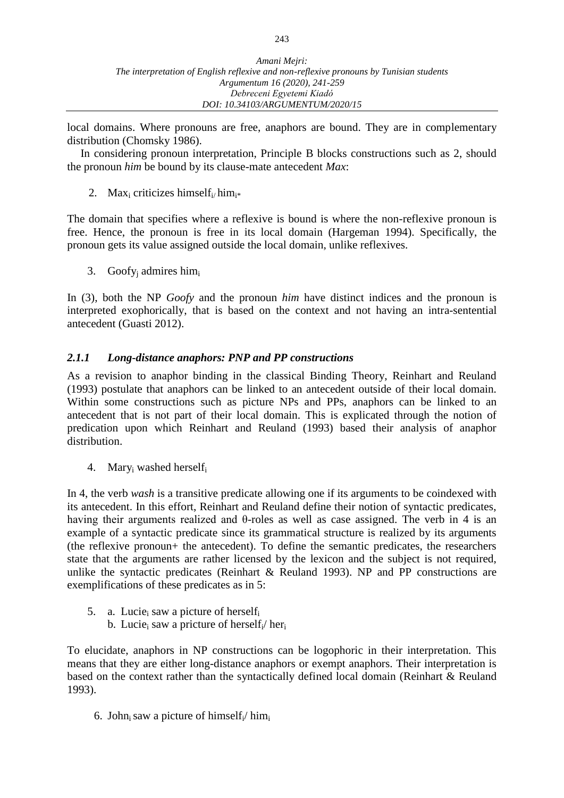local domains. Where pronouns are free, anaphors are bound. They are in complementary distribution (Chomsky 1986).

In considering pronoun interpretation, Principle B blocks constructions such as 2, should the pronoun *him* be bound by its clause-mate antecedent *Max*:

2. Max<sub>i</sub> criticizes himself<sub>i/</sub> him<sub>i\*</sub>

The domain that specifies where a reflexive is bound is where the non-reflexive pronoun is free. Hence, the pronoun is free in its local domain (Hargeman 1994). Specifically, the pronoun gets its value assigned outside the local domain, unlike reflexives.

3. Goofy<sub>i</sub> admires him<sub>i</sub>

In (3), both the NP *Goofy* and the pronoun *him* have distinct indices and the pronoun is interpreted exophorically, that is based on the context and not having an intra-sentential antecedent (Guasti 2012).

## *2.1.1 Long-distance anaphors: PNP and PP constructions*

As a revision to anaphor binding in the classical Binding Theory, Reinhart and Reuland (1993) postulate that anaphors can be linked to an antecedent outside of their local domain. Within some constructions such as picture NPs and PPs, anaphors can be linked to an antecedent that is not part of their local domain. This is explicated through the notion of predication upon which Reinhart and Reuland (1993) based their analysis of anaphor distribution.

4. Mary<sub>i</sub> washed herself<sub>i</sub>

In 4, the verb *wash* is a transitive predicate allowing one if its arguments to be coindexed with its antecedent. In this effort, Reinhart and Reuland define their notion of syntactic predicates, having their arguments realized and θ-roles as well as case assigned. The verb in 4 is an example of a syntactic predicate since its grammatical structure is realized by its arguments (the reflexive pronoun+ the antecedent). To define the semantic predicates, the researchers state that the arguments are rather licensed by the lexicon and the subject is not required, unlike the syntactic predicates (Reinhart & Reuland 1993). NP and PP constructions are exemplifications of these predicates as in 5:

- 5. a. Lucie<sub>i</sub> saw a picture of herself<sub>i</sub>
	- b. Lucie<sub>i</sub> saw a pricture of herself<sub>i</sub>/ her<sub>i</sub>

To elucidate, anaphors in NP constructions can be logophoric in their interpretation. This means that they are either long-distance anaphors or exempt anaphors. Their interpretation is based on the context rather than the syntactically defined local domain (Reinhart & Reuland 1993).

6. John<sub>i</sub> saw a picture of himself<sub>i</sub>/ him<sub>i</sub>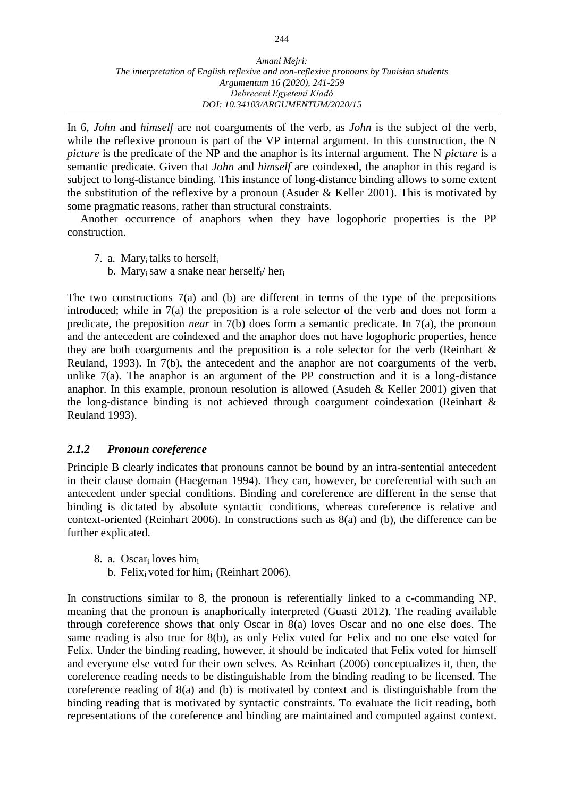#### *Amani Mejri: The interpretation of English reflexive and non-reflexive pronouns by Tunisian students Argumentum 16 (2020), 241-259 Debreceni Egyetemi Kiadó DOI: 10.34103/ARGUMENTUM/2020/15*

In 6, *John* and *himself* are not coarguments of the verb, as *John* is the subject of the verb, while the reflexive pronoun is part of the VP internal argument. In this construction, the N *picture* is the predicate of the NP and the anaphor is its internal argument. The N *picture* is a semantic predicate. Given that *John* and *himself* are coindexed, the anaphor in this regard is subject to long-distance binding. This instance of long-distance binding allows to some extent the substitution of the reflexive by a pronoun (Asuder  $\&$  Keller 2001). This is motivated by some pragmatic reasons, rather than structural constraints.

Another occurrence of anaphors when they have logophoric properties is the PP construction.

- 7. a. Mary<sub>i</sub> talks to herself<sub>i</sub>
	- b. Mary<sub>i</sub> saw a snake near herself<sub>i</sub>/ her<sub>i</sub>

The two constructions  $7(a)$  and (b) are different in terms of the type of the prepositions introduced; while in 7(a) the preposition is a role selector of the verb and does not form a predicate, the preposition *near* in 7(b) does form a semantic predicate. In 7(a), the pronoun and the antecedent are coindexed and the anaphor does not have logophoric properties, hence they are both coarguments and the preposition is a role selector for the verb (Reinhart  $\&$ Reuland, 1993). In 7(b), the antecedent and the anaphor are not coarguments of the verb, unlike  $7(a)$ . The anaphor is an argument of the PP construction and it is a long-distance anaphor. In this example, pronoun resolution is allowed (Asudeh & Keller 2001) given that the long-distance binding is not achieved through coargument coindexation (Reinhart & Reuland 1993).

#### *2.1.2 Pronoun coreference*

Principle B clearly indicates that pronouns cannot be bound by an intra-sentential antecedent in their clause domain (Haegeman 1994). They can, however, be coreferential with such an antecedent under special conditions. Binding and coreference are different in the sense that binding is dictated by absolute syntactic conditions, whereas coreference is relative and context-oriented (Reinhart 2006). In constructions such as 8(a) and (b), the difference can be further explicated.

- 8. a. Oscar<sup>i</sup> loves him<sup>i</sup>
	- b. Felix<sub>i</sub> voted for him<sub>i</sub> (Reinhart 2006).

In constructions similar to 8, the pronoun is referentially linked to a c-commanding NP, meaning that the pronoun is anaphorically interpreted (Guasti 2012). The reading available through coreference shows that only Oscar in 8(a) loves Oscar and no one else does. The same reading is also true for 8(b), as only Felix voted for Felix and no one else voted for Felix. Under the binding reading, however, it should be indicated that Felix voted for himself and everyone else voted for their own selves. As Reinhart (2006) conceptualizes it, then, the coreference reading needs to be distinguishable from the binding reading to be licensed. The coreference reading of 8(a) and (b) is motivated by context and is distinguishable from the binding reading that is motivated by syntactic constraints. To evaluate the licit reading, both representations of the coreference and binding are maintained and computed against context.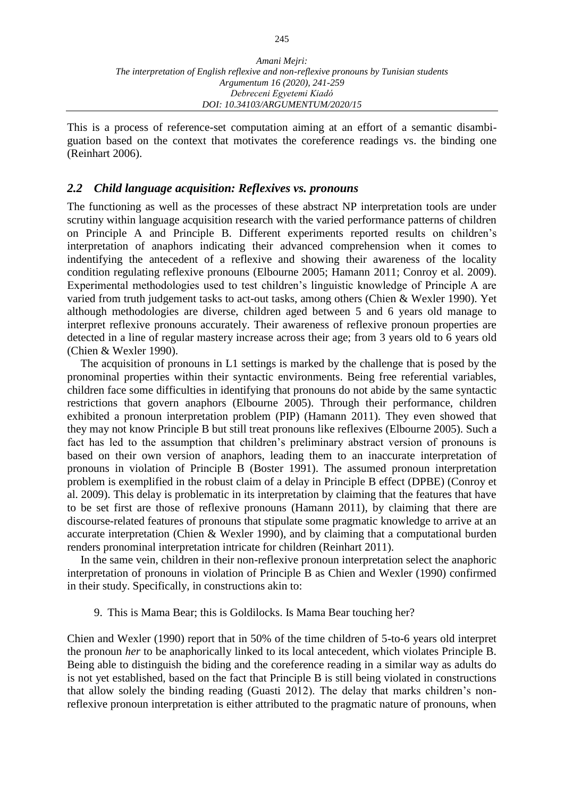This is a process of reference-set computation aiming at an effort of a semantic disambiguation based on the context that motivates the coreference readings vs. the binding one (Reinhart 2006).

#### *2.2 Child language acquisition: Reflexives vs. pronouns*

The functioning as well as the processes of these abstract NP interpretation tools are under scrutiny within language acquisition research with the varied performance patterns of children on Principle A and Principle B. Different experiments reported results on children's interpretation of anaphors indicating their advanced comprehension when it comes to indentifying the antecedent of a reflexive and showing their awareness of the locality condition regulating reflexive pronouns (Elbourne 2005; Hamann 2011; Conroy et al. 2009). Experimental methodologies used to test children's linguistic knowledge of Principle A are varied from truth judgement tasks to act-out tasks, among others (Chien & Wexler 1990). Yet although methodologies are diverse, children aged between 5 and 6 years old manage to interpret reflexive pronouns accurately. Their awareness of reflexive pronoun properties are detected in a line of regular mastery increase across their age; from 3 years old to 6 years old (Chien & Wexler 1990).

The acquisition of pronouns in L1 settings is marked by the challenge that is posed by the pronominal properties within their syntactic environments. Being free referential variables, children face some difficulties in identifying that pronouns do not abide by the same syntactic restrictions that govern anaphors (Elbourne 2005). Through their performance, children exhibited a pronoun interpretation problem (PIP) (Hamann 2011). They even showed that they may not know Principle B but still treat pronouns like reflexives (Elbourne 2005). Such a fact has led to the assumption that children's preliminary abstract version of pronouns is based on their own version of anaphors, leading them to an inaccurate interpretation of pronouns in violation of Principle B (Boster 1991). The assumed pronoun interpretation problem is exemplified in the robust claim of a delay in Principle B effect (DPBE) (Conroy et al. 2009). This delay is problematic in its interpretation by claiming that the features that have to be set first are those of reflexive pronouns (Hamann 2011), by claiming that there are discourse-related features of pronouns that stipulate some pragmatic knowledge to arrive at an accurate interpretation (Chien & Wexler 1990), and by claiming that a computational burden renders pronominal interpretation intricate for children (Reinhart 2011).

In the same vein, children in their non-reflexive pronoun interpretation select the anaphoric interpretation of pronouns in violation of Principle B as Chien and Wexler (1990) confirmed in their study. Specifically, in constructions akin to:

9. This is Mama Bear; this is Goldilocks. Is Mama Bear touching her?

Chien and Wexler (1990) report that in 50% of the time children of 5-to-6 years old interpret the pronoun *her* to be anaphorically linked to its local antecedent, which violates Principle B. Being able to distinguish the biding and the coreference reading in a similar way as adults do is not yet established, based on the fact that Principle B is still being violated in constructions that allow solely the binding reading (Guasti 2012). The delay that marks children's nonreflexive pronoun interpretation is either attributed to the pragmatic nature of pronouns, when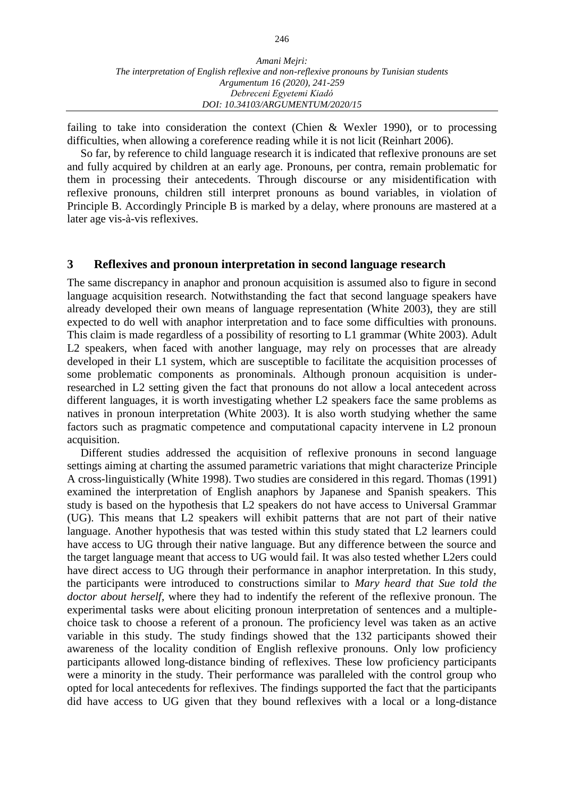failing to take into consideration the context (Chien  $\&$  Wexler 1990), or to processing difficulties, when allowing a coreference reading while it is not licit (Reinhart 2006).

So far, by reference to child language research it is indicated that reflexive pronouns are set and fully acquired by children at an early age. Pronouns, per contra, remain problematic for them in processing their antecedents. Through discourse or any misidentification with reflexive pronouns, children still interpret pronouns as bound variables, in violation of Principle B. Accordingly Principle B is marked by a delay, where pronouns are mastered at a later age vis-à-vis reflexives.

#### **3 Reflexives and pronoun interpretation in second language research**

The same discrepancy in anaphor and pronoun acquisition is assumed also to figure in second language acquisition research. Notwithstanding the fact that second language speakers have already developed their own means of language representation (White 2003), they are still expected to do well with anaphor interpretation and to face some difficulties with pronouns. This claim is made regardless of a possibility of resorting to L1 grammar (White 2003). Adult L<sub>2</sub> speakers, when faced with another language, may rely on processes that are already developed in their L1 system, which are susceptible to facilitate the acquisition processes of some problematic components as pronominals. Although pronoun acquisition is underresearched in L2 setting given the fact that pronouns do not allow a local antecedent across different languages, it is worth investigating whether L2 speakers face the same problems as natives in pronoun interpretation (White 2003). It is also worth studying whether the same factors such as pragmatic competence and computational capacity intervene in L2 pronoun acquisition.

Different studies addressed the acquisition of reflexive pronouns in second language settings aiming at charting the assumed parametric variations that might characterize Principle A cross-linguistically (White 1998). Two studies are considered in this regard. Thomas (1991) examined the interpretation of English anaphors by Japanese and Spanish speakers. This study is based on the hypothesis that L2 speakers do not have access to Universal Grammar (UG). This means that L2 speakers will exhibit patterns that are not part of their native language. Another hypothesis that was tested within this study stated that L2 learners could have access to UG through their native language. But any difference between the source and the target language meant that access to UG would fail. It was also tested whether L2ers could have direct access to UG through their performance in anaphor interpretation. In this study, the participants were introduced to constructions similar to *Mary heard that Sue told the doctor about herself*, where they had to indentify the referent of the reflexive pronoun. The experimental tasks were about eliciting pronoun interpretation of sentences and a multiplechoice task to choose a referent of a pronoun. The proficiency level was taken as an active variable in this study. The study findings showed that the 132 participants showed their awareness of the locality condition of English reflexive pronouns. Only low proficiency participants allowed long-distance binding of reflexives. These low proficiency participants were a minority in the study. Their performance was paralleled with the control group who opted for local antecedents for reflexives. The findings supported the fact that the participants did have access to UG given that they bound reflexives with a local or a long-distance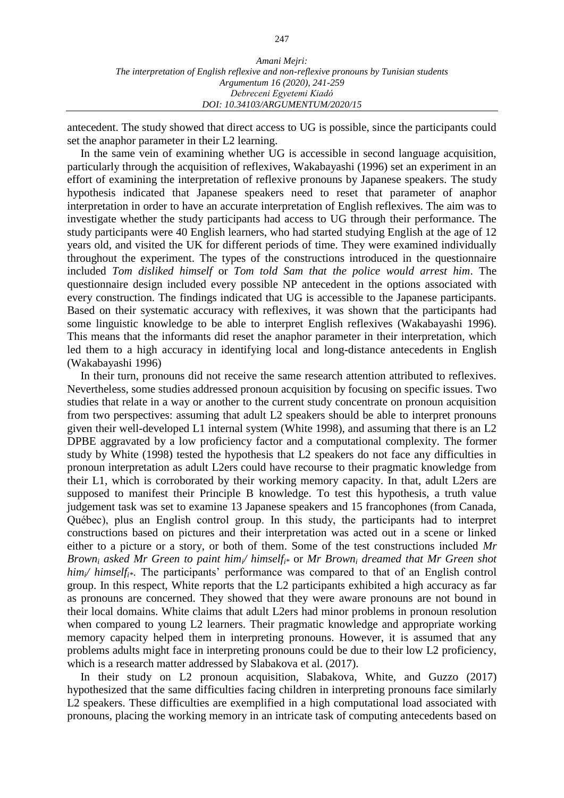antecedent. The study showed that direct access to UG is possible, since the participants could set the anaphor parameter in their L2 learning.

In the same vein of examining whether UG is accessible in second language acquisition, particularly through the acquisition of reflexives, Wakabayashi (1996) set an experiment in an effort of examining the interpretation of reflexive pronouns by Japanese speakers. The study hypothesis indicated that Japanese speakers need to reset that parameter of anaphor interpretation in order to have an accurate interpretation of English reflexives. The aim was to investigate whether the study participants had access to UG through their performance. The study participants were 40 English learners, who had started studying English at the age of 12 years old, and visited the UK for different periods of time. They were examined individually throughout the experiment. The types of the constructions introduced in the questionnaire included *Tom disliked himself* or *Tom told Sam that the police would arrest him*. The questionnaire design included every possible NP antecedent in the options associated with every construction. The findings indicated that UG is accessible to the Japanese participants. Based on their systematic accuracy with reflexives, it was shown that the participants had some linguistic knowledge to be able to interpret English reflexives (Wakabayashi 1996). This means that the informants did reset the anaphor parameter in their interpretation, which led them to a high accuracy in identifying local and long-distance antecedents in English (Wakabayashi 1996)

In their turn, pronouns did not receive the same research attention attributed to reflexives. Nevertheless, some studies addressed pronoun acquisition by focusing on specific issues. Two studies that relate in a way or another to the current study concentrate on pronoun acquisition from two perspectives: assuming that adult L2 speakers should be able to interpret pronouns given their well-developed L1 internal system (White 1998), and assuming that there is an L2 DPBE aggravated by a low proficiency factor and a computational complexity. The former study by White (1998) tested the hypothesis that L2 speakers do not face any difficulties in pronoun interpretation as adult L2ers could have recourse to their pragmatic knowledge from their L1, which is corroborated by their working memory capacity. In that, adult L2ers are supposed to manifest their Principle B knowledge. To test this hypothesis, a truth value judgement task was set to examine 13 Japanese speakers and 15 francophones (from Canada, Québec), plus an English control group. In this study, the participants had to interpret constructions based on pictures and their interpretation was acted out in a scene or linked either to a picture or a story, or both of them. Some of the test constructions included *Mr Brown<sup>i</sup> asked Mr Green to paint himi/ himselfi\** or *Mr Brown<sup>i</sup> dreamed that Mr Green shot him<sub>i</sub>*/ *himself<sub>i\*</sub>*. The participants' performance was compared to that of an English control group. In this respect, White reports that the L2 participants exhibited a high accuracy as far as pronouns are concerned. They showed that they were aware pronouns are not bound in their local domains. White claims that adult L2ers had minor problems in pronoun resolution when compared to young L2 learners. Their pragmatic knowledge and appropriate working memory capacity helped them in interpreting pronouns. However, it is assumed that any problems adults might face in interpreting pronouns could be due to their low L2 proficiency, which is a research matter addressed by Slabakova et al. (2017).

In their study on L2 pronoun acquisition, Slabakova, White, and Guzzo (2017) hypothesized that the same difficulties facing children in interpreting pronouns face similarly L2 speakers. These difficulties are exemplified in a high computational load associated with pronouns, placing the working memory in an intricate task of computing antecedents based on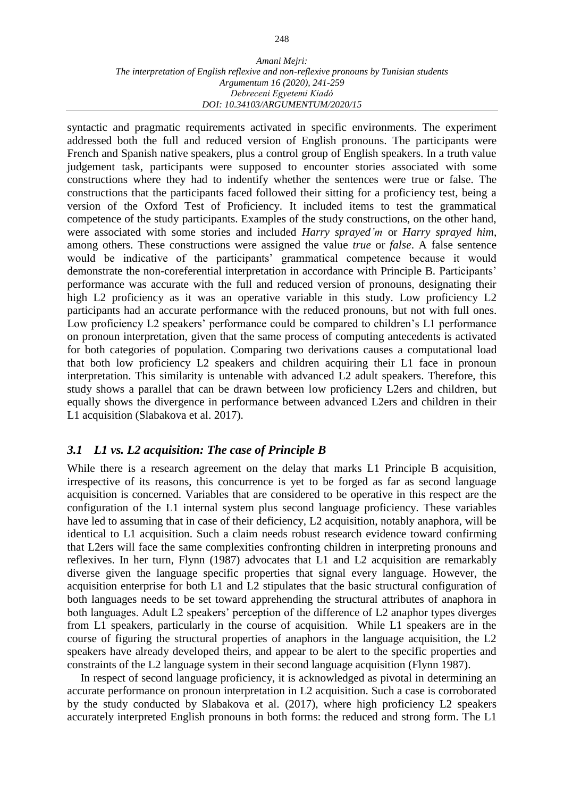#### *Amani Mejri: The interpretation of English reflexive and non-reflexive pronouns by Tunisian students Argumentum 16 (2020), 241-259 Debreceni Egyetemi Kiadó DOI: 10.34103/ARGUMENTUM/2020/15*

syntactic and pragmatic requirements activated in specific environments. The experiment addressed both the full and reduced version of English pronouns. The participants were French and Spanish native speakers, plus a control group of English speakers. In a truth value judgement task, participants were supposed to encounter stories associated with some constructions where they had to indentify whether the sentences were true or false. The constructions that the participants faced followed their sitting for a proficiency test, being a version of the Oxford Test of Proficiency. It included items to test the grammatical competence of the study participants. Examples of the study constructions, on the other hand, were associated with some stories and included *Harry sprayed'm* or *Harry sprayed him*, among others. These constructions were assigned the value *true* or *false*. A false sentence would be indicative of the participants' grammatical competence because it would demonstrate the non-coreferential interpretation in accordance with Principle B. Participants' performance was accurate with the full and reduced version of pronouns, designating their high L2 proficiency as it was an operative variable in this study. Low proficiency L2 participants had an accurate performance with the reduced pronouns, but not with full ones. Low proficiency L2 speakers' performance could be compared to children's L1 performance on pronoun interpretation, given that the same process of computing antecedents is activated for both categories of population. Comparing two derivations causes a computational load that both low proficiency L2 speakers and children acquiring their L1 face in pronoun interpretation. This similarity is untenable with advanced L2 adult speakers. Therefore, this study shows a parallel that can be drawn between low proficiency L2ers and children, but equally shows the divergence in performance between advanced L2ers and children in their L1 acquisition (Slabakova et al. 2017).

## *3.1 L1 vs. L2 acquisition: The case of Principle B*

While there is a research agreement on the delay that marks L1 Principle B acquisition, irrespective of its reasons, this concurrence is yet to be forged as far as second language acquisition is concerned. Variables that are considered to be operative in this respect are the configuration of the L1 internal system plus second language proficiency. These variables have led to assuming that in case of their deficiency, L2 acquisition, notably anaphora, will be identical to L1 acquisition. Such a claim needs robust research evidence toward confirming that L2ers will face the same complexities confronting children in interpreting pronouns and reflexives. In her turn, Flynn (1987) advocates that L1 and L2 acquisition are remarkably diverse given the language specific properties that signal every language. However, the acquisition enterprise for both L1 and L2 stipulates that the basic structural configuration of both languages needs to be set toward apprehending the structural attributes of anaphora in both languages. Adult L2 speakers' perception of the difference of L2 anaphor types diverges from L1 speakers, particularly in the course of acquisition. While L1 speakers are in the course of figuring the structural properties of anaphors in the language acquisition, the L2 speakers have already developed theirs, and appear to be alert to the specific properties and constraints of the L2 language system in their second language acquisition (Flynn 1987).

In respect of second language proficiency, it is acknowledged as pivotal in determining an accurate performance on pronoun interpretation in L2 acquisition. Such a case is corroborated by the study conducted by Slabakova et al. (2017), where high proficiency L2 speakers accurately interpreted English pronouns in both forms: the reduced and strong form. The L1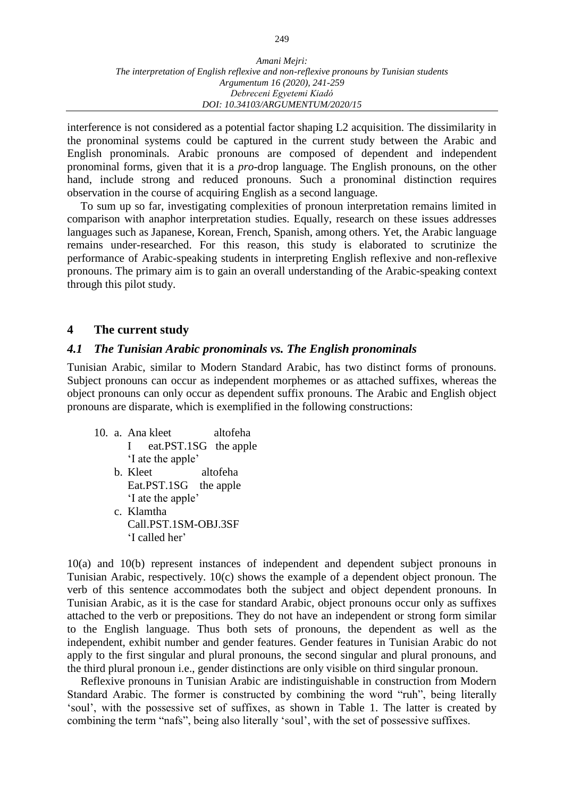interference is not considered as a potential factor shaping L2 acquisition. The dissimilarity in the pronominal systems could be captured in the current study between the Arabic and English pronominals. Arabic pronouns are composed of dependent and independent pronominal forms, given that it is a *pro*-drop language. The English pronouns, on the other hand, include strong and reduced pronouns. Such a pronominal distinction requires observation in the course of acquiring English as a second language.

To sum up so far, investigating complexities of pronoun interpretation remains limited in comparison with anaphor interpretation studies. Equally, research on these issues addresses languages such as Japanese, Korean, French, Spanish, among others. Yet, the Arabic language remains under-researched. For this reason, this study is elaborated to scrutinize the performance of Arabic-speaking students in interpreting English reflexive and non-reflexive pronouns. The primary aim is to gain an overall understanding of the Arabic-speaking context through this pilot study.

## **4 The current study**

## *4.1 The Tunisian Arabic pronominals vs. The English pronominals*

Tunisian Arabic, similar to Modern Standard Arabic, has two distinct forms of pronouns. Subject pronouns can occur as independent morphemes or as attached suffixes, whereas the object pronouns can only occur as dependent suffix pronouns. The Arabic and English object pronouns are disparate, which is exemplified in the following constructions:

10. a. Ana kleet altofeha I eat.PST.1SG the apple 'I ate the apple' b. Kleet altofeha Eat.PST.1SG the apple 'I ate the apple' c. Klamtha Call.PST.1SM-OBJ.3SF 'I called her'

10(a) and 10(b) represent instances of independent and dependent subject pronouns in Tunisian Arabic, respectively. 10(c) shows the example of a dependent object pronoun. The verb of this sentence accommodates both the subject and object dependent pronouns. In Tunisian Arabic, as it is the case for standard Arabic, object pronouns occur only as suffixes attached to the verb or prepositions. They do not have an independent or strong form similar to the English language. Thus both sets of pronouns, the dependent as well as the independent, exhibit number and gender features. Gender features in Tunisian Arabic do not apply to the first singular and plural pronouns, the second singular and plural pronouns, and the third plural pronoun i.e., gender distinctions are only visible on third singular pronoun.

Reflexive pronouns in Tunisian Arabic are indistinguishable in construction from Modern Standard Arabic. The former is constructed by combining the word "ruh", being literally 'soul', with the possessive set of suffixes, as shown in Table 1. The latter is created by combining the term "nafs", being also literally 'soul', with the set of possessive suffixes.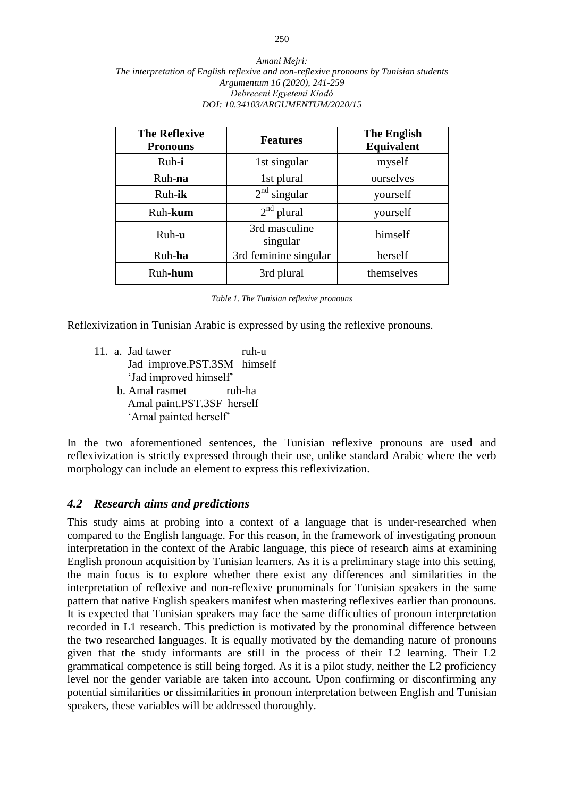| <b>The Reflexive</b><br><b>Pronouns</b> | <b>Features</b>           | <b>The English</b><br><b>Equivalent</b> |  |
|-----------------------------------------|---------------------------|-----------------------------------------|--|
| Ruh-i                                   | 1st singular              | myself                                  |  |
| Ruh-na                                  | 1st plural                | ourselves                               |  |
| Ruh-ik                                  | $2nd$ singular            | yourself                                |  |
| Ruh-kum                                 | $2nd$ plural              | yourself                                |  |
| Ruh-u                                   | 3rd masculine<br>singular | himself                                 |  |
| Ruh-ha                                  | 3rd feminine singular     | herself                                 |  |
| Ruh-hum                                 | 3rd plural                | themselves                              |  |

*Table 1. The Tunisian reflexive pronouns*

Reflexivization in Tunisian Arabic is expressed by using the reflexive pronouns.

- 11. a. Jad tawer ruh-u Jad improve.PST.3SM himself 'Jad improved himself'
	- b. Amal rasmet ruh-ha Amal paint.PST.3SF herself 'Amal painted herself'

In the two aforementioned sentences, the Tunisian reflexive pronouns are used and reflexivization is strictly expressed through their use, unlike standard Arabic where the verb morphology can include an element to express this reflexivization.

## *4.2 Research aims and predictions*

This study aims at probing into a context of a language that is under-researched when compared to the English language. For this reason, in the framework of investigating pronoun interpretation in the context of the Arabic language, this piece of research aims at examining English pronoun acquisition by Tunisian learners. As it is a preliminary stage into this setting, the main focus is to explore whether there exist any differences and similarities in the interpretation of reflexive and non-reflexive pronominals for Tunisian speakers in the same pattern that native English speakers manifest when mastering reflexives earlier than pronouns. It is expected that Tunisian speakers may face the same difficulties of pronoun interpretation recorded in L1 research. This prediction is motivated by the pronominal difference between the two researched languages. It is equally motivated by the demanding nature of pronouns given that the study informants are still in the process of their L2 learning. Their L2 grammatical competence is still being forged. As it is a pilot study, neither the L2 proficiency level nor the gender variable are taken into account. Upon confirming or disconfirming any potential similarities or dissimilarities in pronoun interpretation between English and Tunisian speakers, these variables will be addressed thoroughly.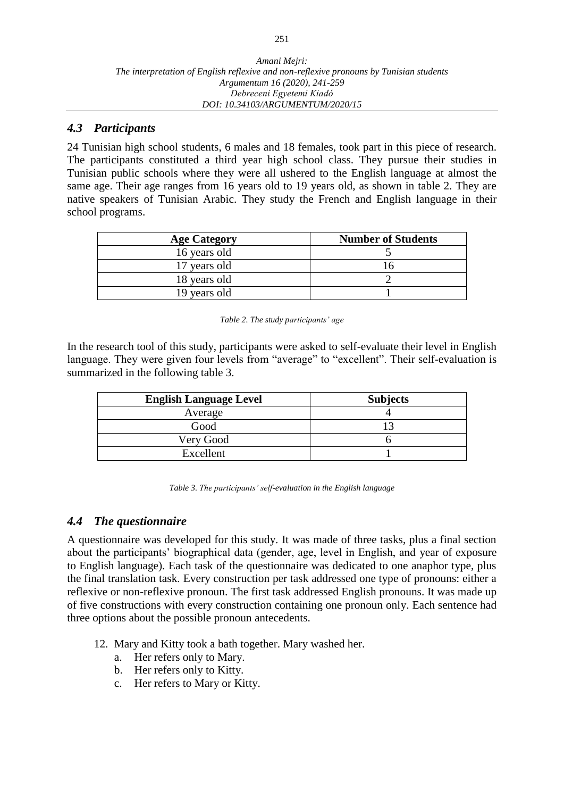## *4.3 Participants*

24 Tunisian high school students, 6 males and 18 females, took part in this piece of research. The participants constituted a third year high school class. They pursue their studies in Tunisian public schools where they were all ushered to the English language at almost the same age. Their age ranges from 16 years old to 19 years old, as shown in table 2. They are native speakers of Tunisian Arabic. They study the French and English language in their school programs.

| <b>Age Category</b> | <b>Number of Students</b> |
|---------------------|---------------------------|
| 16 years old        |                           |
| 17 years old        |                           |
| 18 years old        |                           |
| 19 years old        |                           |

|  | Table 2. The study participants' age |  |
|--|--------------------------------------|--|
|  |                                      |  |

In the research tool of this study, participants were asked to self-evaluate their level in English language. They were given four levels from "average" to "excellent". Their self-evaluation is summarized in the following table 3.

| <b>English Language Level</b> | <b>Subjects</b> |
|-------------------------------|-----------------|
| Average                       |                 |
| Good                          |                 |
| Very Good                     |                 |
| Excellent                     |                 |

| Table 3. The participants' self-evaluation in the English language |  |  |  |
|--------------------------------------------------------------------|--|--|--|
|--------------------------------------------------------------------|--|--|--|

## *4.4 The questionnaire*

A questionnaire was developed for this study. It was made of three tasks, plus a final section about the participants' biographical data (gender, age, level in English, and year of exposure to English language). Each task of the questionnaire was dedicated to one anaphor type, plus the final translation task. Every construction per task addressed one type of pronouns: either a reflexive or non-reflexive pronoun. The first task addressed English pronouns. It was made up of five constructions with every construction containing one pronoun only. Each sentence had three options about the possible pronoun antecedents.

- 12. Mary and Kitty took a bath together. Mary washed her.
	- a. Her refers only to Mary.
	- b. Her refers only to Kitty.
	- c. Her refers to Mary or Kitty.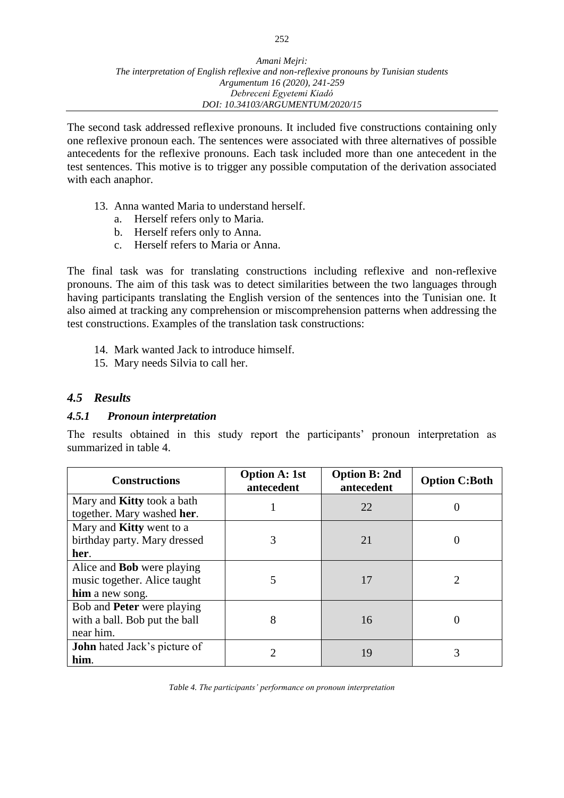The second task addressed reflexive pronouns. It included five constructions containing only one reflexive pronoun each. The sentences were associated with three alternatives of possible antecedents for the reflexive pronouns. Each task included more than one antecedent in the test sentences. This motive is to trigger any possible computation of the derivation associated with each anaphor.

- 13. Anna wanted Maria to understand herself.
	- a. Herself refers only to Maria.
	- b. Herself refers only to Anna.
	- c. Herself refers to Maria or Anna.

The final task was for translating constructions including reflexive and non-reflexive pronouns. The aim of this task was to detect similarities between the two languages through having participants translating the English version of the sentences into the Tunisian one. It also aimed at tracking any comprehension or miscomprehension patterns when addressing the test constructions. Examples of the translation task constructions:

- 14. Mark wanted Jack to introduce himself.
- 15. Mary needs Silvia to call her.

#### *4.5 Results*

#### *4.5.1 Pronoun interpretation*

The results obtained in this study report the participants' pronoun interpretation as summarized in table 4.

| <b>Constructions</b>                | <b>Option A: 1st</b><br>antecedent | <b>Option B: 2nd</b><br>antecedent | <b>Option C:Both</b> |
|-------------------------------------|------------------------------------|------------------------------------|----------------------|
| Mary and <b>Kitty</b> took a bath   |                                    | 22                                 |                      |
| together. Mary washed her.          |                                    |                                    |                      |
| Mary and <b>Kitty</b> went to a     |                                    |                                    |                      |
| birthday party. Mary dressed        | 3                                  | 21                                 |                      |
| her.                                |                                    |                                    |                      |
| Alice and <b>Bob</b> were playing   |                                    |                                    |                      |
| music together. Alice taught        | 5                                  | 17                                 | 2                    |
| him a new song.                     |                                    |                                    |                      |
| Bob and <b>Peter</b> were playing   |                                    |                                    |                      |
| with a ball. Bob put the ball       | 8                                  | 16                                 |                      |
| near him.                           |                                    |                                    |                      |
| <b>John</b> hated Jack's picture of | 2                                  |                                    |                      |
| him.                                |                                    | 19                                 | 3                    |

*Table 4. The participants' performance on pronoun interpretation*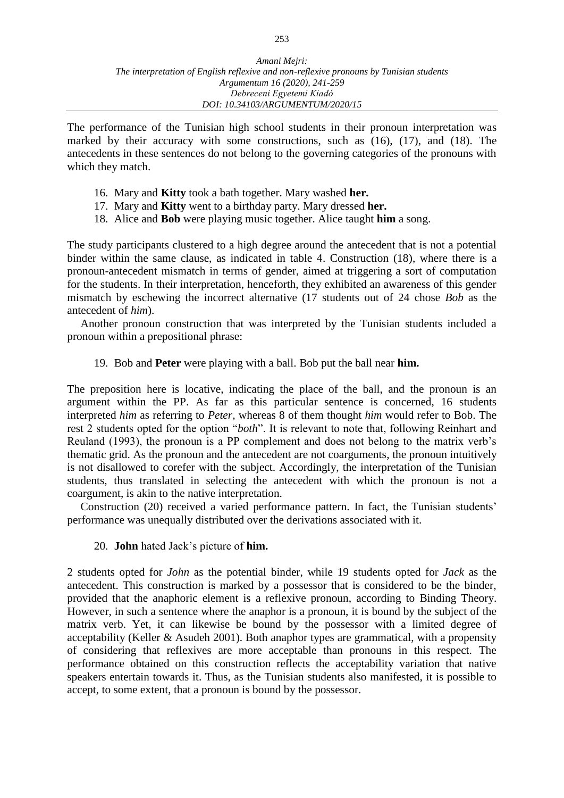The performance of the Tunisian high school students in their pronoun interpretation was marked by their accuracy with some constructions, such as (16), (17), and (18). The antecedents in these sentences do not belong to the governing categories of the pronouns with which they match.

- 16. Mary and **Kitty** took a bath together. Mary washed **her.**
- 17. Mary and **Kitty** went to a birthday party. Mary dressed **her.**
- 18. Alice and **Bob** were playing music together. Alice taught **him** a song.

The study participants clustered to a high degree around the antecedent that is not a potential binder within the same clause, as indicated in table 4. Construction (18), where there is a pronoun-antecedent mismatch in terms of gender, aimed at triggering a sort of computation for the students. In their interpretation, henceforth, they exhibited an awareness of this gender mismatch by eschewing the incorrect alternative (17 students out of 24 chose *Bob* as the antecedent of *him*).

Another pronoun construction that was interpreted by the Tunisian students included a pronoun within a prepositional phrase:

19. Bob and **Peter** were playing with a ball. Bob put the ball near **him.**

The preposition here is locative, indicating the place of the ball, and the pronoun is an argument within the PP. As far as this particular sentence is concerned, 16 students interpreted *him* as referring to *Peter,* whereas 8 of them thought *him* would refer to Bob. The rest 2 students opted for the option "*both*". It is relevant to note that, following Reinhart and Reuland (1993), the pronoun is a PP complement and does not belong to the matrix verb's thematic grid. As the pronoun and the antecedent are not coarguments, the pronoun intuitively is not disallowed to corefer with the subject. Accordingly, the interpretation of the Tunisian students, thus translated in selecting the antecedent with which the pronoun is not a coargument, is akin to the native interpretation.

Construction (20) received a varied performance pattern. In fact, the Tunisian students' performance was unequally distributed over the derivations associated with it.

20. **John** hated Jack's picture of **him.**

2 students opted for *John* as the potential binder, while 19 students opted for *Jack* as the antecedent. This construction is marked by a possessor that is considered to be the binder, provided that the anaphoric element is a reflexive pronoun, according to Binding Theory. However, in such a sentence where the anaphor is a pronoun, it is bound by the subject of the matrix verb. Yet, it can likewise be bound by the possessor with a limited degree of acceptability (Keller & Asudeh 2001). Both anaphor types are grammatical, with a propensity of considering that reflexives are more acceptable than pronouns in this respect. The performance obtained on this construction reflects the acceptability variation that native speakers entertain towards it. Thus, as the Tunisian students also manifested, it is possible to accept, to some extent, that a pronoun is bound by the possessor.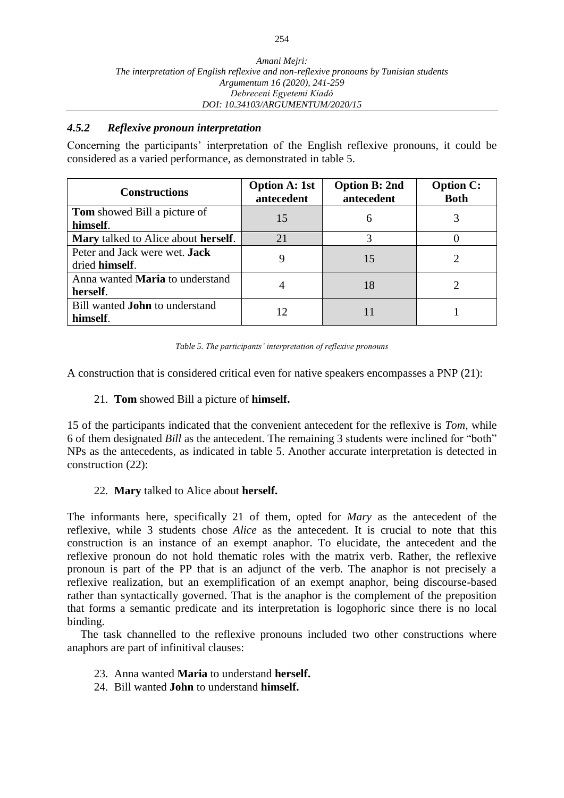## *4.5.2 Reflexive pronoun interpretation*

Concerning the participants' interpretation of the English reflexive pronouns, it could be considered as a varied performance, as demonstrated in table 5.

| <b>Constructions</b>                                   | <b>Option A: 1st</b><br>antecedent | <b>Option B: 2nd</b><br>antecedent | <b>Option C:</b><br><b>Both</b> |
|--------------------------------------------------------|------------------------------------|------------------------------------|---------------------------------|
| <b>Tom</b> showed Bill a picture of<br>himself.        | 15                                 | 6                                  |                                 |
| <b>Mary</b> talked to Alice about <b>herself</b> .     | 21                                 |                                    |                                 |
| Peter and Jack were wet. <b>Jack</b><br>dried himself. |                                    | 15                                 |                                 |
| Anna wanted <b>Maria</b> to understand<br>herself.     |                                    | 18                                 |                                 |
| Bill wanted <b>John</b> to understand<br>himself.      |                                    |                                    |                                 |



A construction that is considered critical even for native speakers encompasses a PNP (21):

#### 21. **Tom** showed Bill a picture of **himself.**

15 of the participants indicated that the convenient antecedent for the reflexive is *Tom*, while 6 of them designated *Bill* as the antecedent. The remaining 3 students were inclined for "both" NPs as the antecedents, as indicated in table 5. Another accurate interpretation is detected in construction (22):

## 22. **Mary** talked to Alice about **herself.**

The informants here, specifically 21 of them, opted for *Mary* as the antecedent of the reflexive, while 3 students chose *Alice* as the antecedent. It is crucial to note that this construction is an instance of an exempt anaphor. To elucidate, the antecedent and the reflexive pronoun do not hold thematic roles with the matrix verb. Rather, the reflexive pronoun is part of the PP that is an adjunct of the verb. The anaphor is not precisely a reflexive realization, but an exemplification of an exempt anaphor, being discourse-based rather than syntactically governed. That is the anaphor is the complement of the preposition that forms a semantic predicate and its interpretation is logophoric since there is no local binding.

The task channelled to the reflexive pronouns included two other constructions where anaphors are part of infinitival clauses:

- 23. Anna wanted **Maria** to understand **herself.**
- 24. Bill wanted **John** to understand **himself.**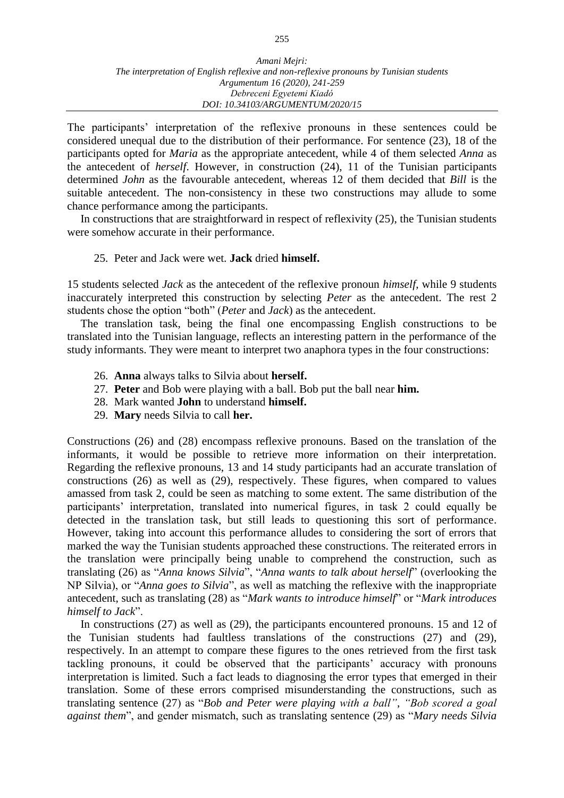The participants' interpretation of the reflexive pronouns in these sentences could be considered unequal due to the distribution of their performance. For sentence (23), 18 of the participants opted for *Maria* as the appropriate antecedent, while 4 of them selected *Anna* as the antecedent of *herself*. However, in construction (24), 11 of the Tunisian participants determined *John* as the favourable antecedent, whereas 12 of them decided that *Bill* is the suitable antecedent. The non-consistency in these two constructions may allude to some chance performance among the participants.

In constructions that are straightforward in respect of reflexivity (25), the Tunisian students were somehow accurate in their performance.

#### 25. Peter and Jack were wet. **Jack** dried **himself.**

15 students selected *Jack* as the antecedent of the reflexive pronoun *himself*, while 9 students inaccurately interpreted this construction by selecting *Peter* as the antecedent. The rest 2 students chose the option "both" (*Peter* and *Jack*) as the antecedent.

The translation task, being the final one encompassing English constructions to be translated into the Tunisian language, reflects an interesting pattern in the performance of the study informants. They were meant to interpret two anaphora types in the four constructions:

- 26. **Anna** always talks to Silvia about **herself.**
- 27. **Peter** and Bob were playing with a ball. Bob put the ball near **him.**
- 28. Mark wanted **John** to understand **himself.**
- 29. **Mary** needs Silvia to call **her.**

Constructions (26) and (28) encompass reflexive pronouns. Based on the translation of the informants, it would be possible to retrieve more information on their interpretation. Regarding the reflexive pronouns, 13 and 14 study participants had an accurate translation of constructions (26) as well as (29), respectively. These figures, when compared to values amassed from task 2, could be seen as matching to some extent. The same distribution of the participants' interpretation, translated into numerical figures, in task 2 could equally be detected in the translation task, but still leads to questioning this sort of performance. However, taking into account this performance alludes to considering the sort of errors that marked the way the Tunisian students approached these constructions. The reiterated errors in the translation were principally being unable to comprehend the construction, such as translating (26) as "*Anna knows Silvia*", "*Anna wants to talk about herself*" (overlooking the NP Silvia), or "*Anna goes to Silvia*", as well as matching the reflexive with the inappropriate antecedent, such as translating (28) as "*Mark wants to introduce himself*" or "*Mark introduces himself to Jack*".

In constructions (27) as well as (29), the participants encountered pronouns. 15 and 12 of the Tunisian students had faultless translations of the constructions (27) and (29), respectively. In an attempt to compare these figures to the ones retrieved from the first task tackling pronouns, it could be observed that the participants' accuracy with pronouns interpretation is limited. Such a fact leads to diagnosing the error types that emerged in their translation. Some of these errors comprised misunderstanding the constructions, such as translating sentence (27) as "*Bob and Peter were playing with a ball"*, *"Bob scored a goal against them*", and gender mismatch, such as translating sentence (29) as "*Mary needs Silvia*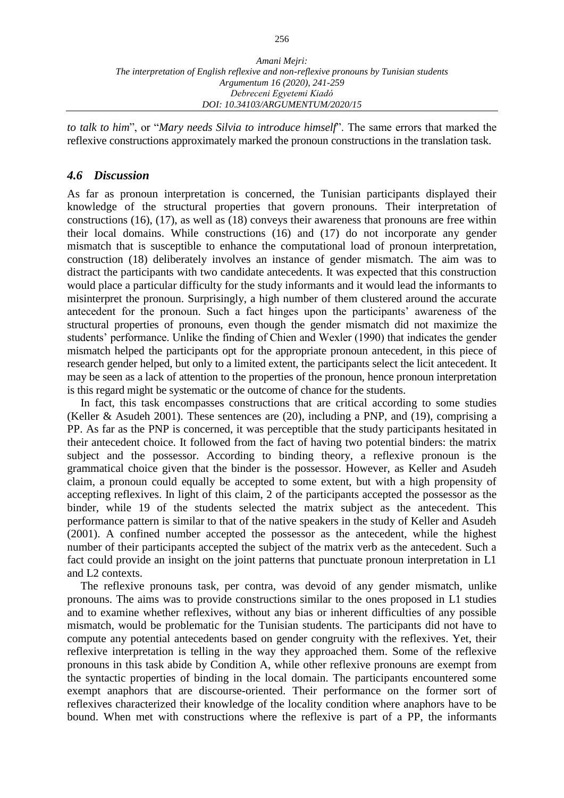*to talk to him*", or "*Mary needs Silvia to introduce himself*". The same errors that marked the reflexive constructions approximately marked the pronoun constructions in the translation task.

#### *4.6 Discussion*

As far as pronoun interpretation is concerned, the Tunisian participants displayed their knowledge of the structural properties that govern pronouns. Their interpretation of constructions (16), (17), as well as (18) conveys their awareness that pronouns are free within their local domains. While constructions (16) and (17) do not incorporate any gender mismatch that is susceptible to enhance the computational load of pronoun interpretation, construction (18) deliberately involves an instance of gender mismatch. The aim was to distract the participants with two candidate antecedents. It was expected that this construction would place a particular difficulty for the study informants and it would lead the informants to misinterpret the pronoun. Surprisingly, a high number of them clustered around the accurate antecedent for the pronoun. Such a fact hinges upon the participants' awareness of the structural properties of pronouns, even though the gender mismatch did not maximize the students' performance. Unlike the finding of Chien and Wexler (1990) that indicates the gender mismatch helped the participants opt for the appropriate pronoun antecedent, in this piece of research gender helped, but only to a limited extent, the participants select the licit antecedent. It may be seen as a lack of attention to the properties of the pronoun, hence pronoun interpretation is this regard might be systematic or the outcome of chance for the students.

In fact, this task encompasses constructions that are critical according to some studies (Keller & Asudeh 2001). These sentences are (20), including a PNP, and (19), comprising a PP. As far as the PNP is concerned, it was perceptible that the study participants hesitated in their antecedent choice. It followed from the fact of having two potential binders: the matrix subject and the possessor. According to binding theory, a reflexive pronoun is the grammatical choice given that the binder is the possessor. However, as Keller and Asudeh claim, a pronoun could equally be accepted to some extent, but with a high propensity of accepting reflexives. In light of this claim, 2 of the participants accepted the possessor as the binder, while 19 of the students selected the matrix subject as the antecedent. This performance pattern is similar to that of the native speakers in the study of Keller and Asudeh (2001). A confined number accepted the possessor as the antecedent, while the highest number of their participants accepted the subject of the matrix verb as the antecedent. Such a fact could provide an insight on the joint patterns that punctuate pronoun interpretation in L1 and L2 contexts.

The reflexive pronouns task, per contra, was devoid of any gender mismatch, unlike pronouns. The aims was to provide constructions similar to the ones proposed in L1 studies and to examine whether reflexives, without any bias or inherent difficulties of any possible mismatch, would be problematic for the Tunisian students. The participants did not have to compute any potential antecedents based on gender congruity with the reflexives. Yet, their reflexive interpretation is telling in the way they approached them. Some of the reflexive pronouns in this task abide by Condition A, while other reflexive pronouns are exempt from the syntactic properties of binding in the local domain. The participants encountered some exempt anaphors that are discourse-oriented. Their performance on the former sort of reflexives characterized their knowledge of the locality condition where anaphors have to be bound. When met with constructions where the reflexive is part of a PP, the informants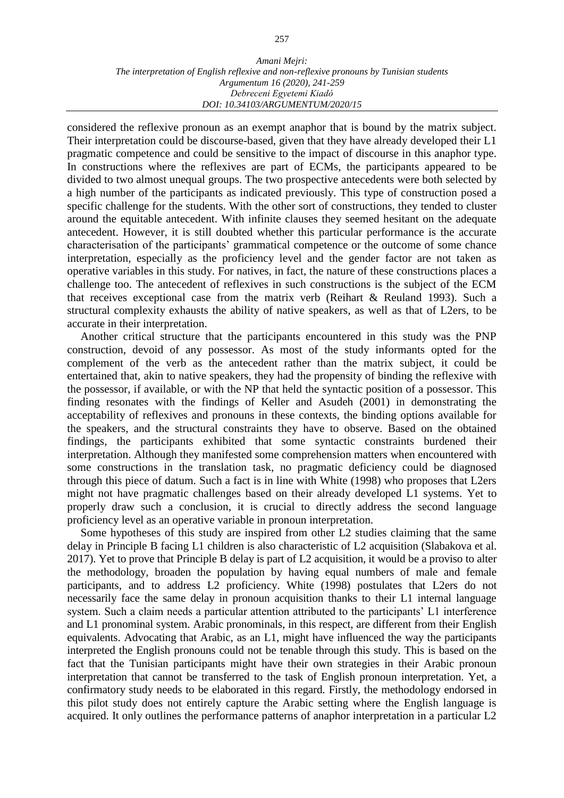#### *Amani Mejri: The interpretation of English reflexive and non-reflexive pronouns by Tunisian students Argumentum 16 (2020), 241-259 Debreceni Egyetemi Kiadó DOI: 10.34103/ARGUMENTUM/2020/15*

considered the reflexive pronoun as an exempt anaphor that is bound by the matrix subject. Their interpretation could be discourse-based, given that they have already developed their L1 pragmatic competence and could be sensitive to the impact of discourse in this anaphor type. In constructions where the reflexives are part of ECMs, the participants appeared to be divided to two almost unequal groups. The two prospective antecedents were both selected by a high number of the participants as indicated previously. This type of construction posed a specific challenge for the students. With the other sort of constructions, they tended to cluster around the equitable antecedent. With infinite clauses they seemed hesitant on the adequate antecedent. However, it is still doubted whether this particular performance is the accurate characterisation of the participants' grammatical competence or the outcome of some chance interpretation, especially as the proficiency level and the gender factor are not taken as operative variables in this study. For natives, in fact, the nature of these constructions places a challenge too. The antecedent of reflexives in such constructions is the subject of the ECM that receives exceptional case from the matrix verb (Reihart & Reuland 1993). Such a structural complexity exhausts the ability of native speakers, as well as that of L2ers, to be accurate in their interpretation.

Another critical structure that the participants encountered in this study was the PNP construction, devoid of any possessor. As most of the study informants opted for the complement of the verb as the antecedent rather than the matrix subject, it could be entertained that, akin to native speakers, they had the propensity of binding the reflexive with the possessor, if available, or with the NP that held the syntactic position of a possessor. This finding resonates with the findings of Keller and Asudeh (2001) in demonstrating the acceptability of reflexives and pronouns in these contexts, the binding options available for the speakers, and the structural constraints they have to observe. Based on the obtained findings, the participants exhibited that some syntactic constraints burdened their interpretation. Although they manifested some comprehension matters when encountered with some constructions in the translation task, no pragmatic deficiency could be diagnosed through this piece of datum. Such a fact is in line with White (1998) who proposes that L2ers might not have pragmatic challenges based on their already developed L1 systems. Yet to properly draw such a conclusion, it is crucial to directly address the second language proficiency level as an operative variable in pronoun interpretation.

Some hypotheses of this study are inspired from other L2 studies claiming that the same delay in Principle B facing L1 children is also characteristic of L2 acquisition (Slabakova et al. 2017). Yet to prove that Principle B delay is part of L2 acquisition, it would be a proviso to alter the methodology, broaden the population by having equal numbers of male and female participants, and to address L2 proficiency. White (1998) postulates that L2ers do not necessarily face the same delay in pronoun acquisition thanks to their L1 internal language system. Such a claim needs a particular attention attributed to the participants' L1 interference and L1 pronominal system. Arabic pronominals, in this respect, are different from their English equivalents. Advocating that Arabic, as an L1, might have influenced the way the participants interpreted the English pronouns could not be tenable through this study. This is based on the fact that the Tunisian participants might have their own strategies in their Arabic pronoun interpretation that cannot be transferred to the task of English pronoun interpretation. Yet, a confirmatory study needs to be elaborated in this regard. Firstly, the methodology endorsed in this pilot study does not entirely capture the Arabic setting where the English language is acquired. It only outlines the performance patterns of anaphor interpretation in a particular L2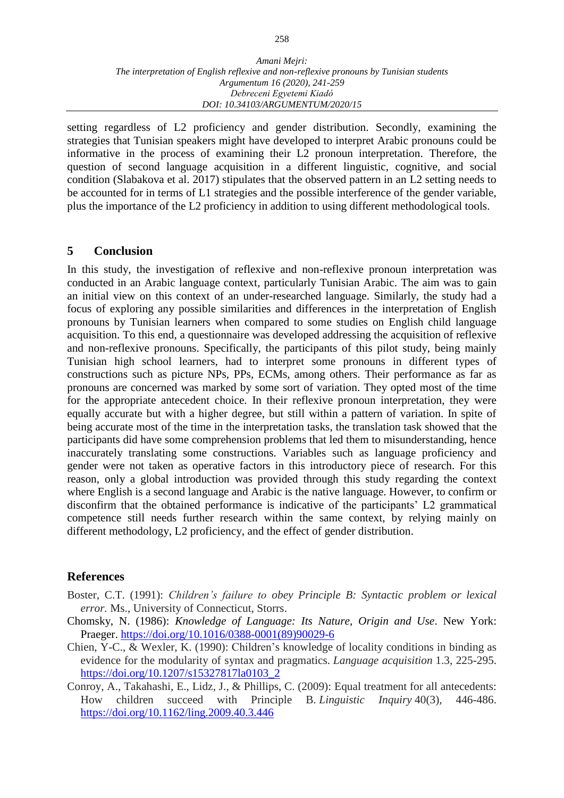setting regardless of L2 proficiency and gender distribution. Secondly, examining the strategies that Tunisian speakers might have developed to interpret Arabic pronouns could be informative in the process of examining their L2 pronoun interpretation. Therefore, the question of second language acquisition in a different linguistic, cognitive, and social condition (Slabakova et al. 2017) stipulates that the observed pattern in an L2 setting needs to be accounted for in terms of L1 strategies and the possible interference of the gender variable, plus the importance of the L2 proficiency in addition to using different methodological tools.

## **5 Conclusion**

In this study, the investigation of reflexive and non-reflexive pronoun interpretation was conducted in an Arabic language context, particularly Tunisian Arabic. The aim was to gain an initial view on this context of an under-researched language. Similarly, the study had a focus of exploring any possible similarities and differences in the interpretation of English pronouns by Tunisian learners when compared to some studies on English child language acquisition. To this end, a questionnaire was developed addressing the acquisition of reflexive and non-reflexive pronouns. Specifically, the participants of this pilot study, being mainly Tunisian high school learners, had to interpret some pronouns in different types of constructions such as picture NPs, PPs, ECMs, among others. Their performance as far as pronouns are concerned was marked by some sort of variation. They opted most of the time for the appropriate antecedent choice. In their reflexive pronoun interpretation, they were equally accurate but with a higher degree, but still within a pattern of variation. In spite of being accurate most of the time in the interpretation tasks, the translation task showed that the participants did have some comprehension problems that led them to misunderstanding, hence inaccurately translating some constructions. Variables such as language proficiency and gender were not taken as operative factors in this introductory piece of research. For this reason, only a global introduction was provided through this study regarding the context where English is a second language and Arabic is the native language. However, to confirm or disconfirm that the obtained performance is indicative of the participants' L2 grammatical competence still needs further research within the same context, by relying mainly on different methodology, L2 proficiency, and the effect of gender distribution.

## **References**

- Boster, C.T. (1991): *Children's failure to obey Principle B: Syntactic problem or lexical error.* Ms., University of Connecticut, Storrs.
- Chomsky, N. (1986): *Knowledge of Language: Its Nature, Origin and Use*. New York: Praeger. [https://doi.org/10.1016/0388-0001\(89\)90029-6](https://doi.org/10.1016/0388-0001(89)90029-6)
- Chien, Y-C., & Wexler, K. (1990): Children's knowledge of locality conditions in binding as evidence for the modularity of syntax and pragmatics. *Language acquisition* 1.3, 225-295. [https://doi.org/10.1207/s15327817la0103\\_2](https://doi.org/10.1207/s15327817la0103_2)
- Conroy, A., Takahashi, E., Lidz, J., & Phillips, C. (2009): Equal treatment for all antecedents: How children succeed with Principle B. *Linguistic Inquiry* 40(3), 446-486. <https://doi.org/10.1162/ling.2009.40.3.446>